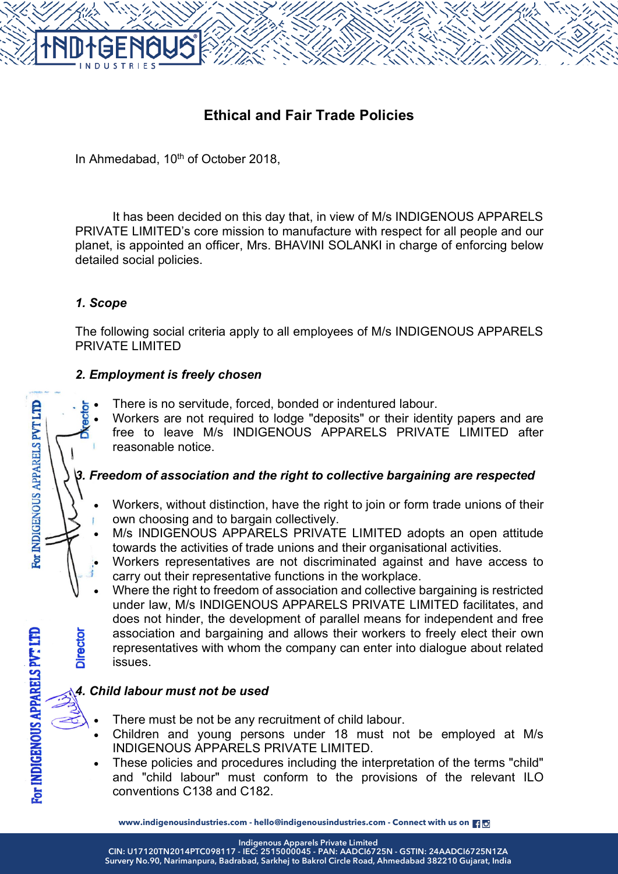# **Ethical and Fair Trade Policies**

In Ahmedabad, 10<sup>th</sup> of October 2018,

It has been decided on this day that, in view of M/s INDIGENOUS APPARELS PRIVATE LIMITED's core mission to manufacture with respect for all people and our planet, is appointed an officer, Mrs. BHAVINI SOLANKI in charge of enforcing below detailed social policies.

# *1. Scope*

The following social criteria apply to all employees of M/s INDIGENOUS APPARELS PRIVATE LIMITED

#### *2. Employment is freely chosen*

- There is no servitude, forced, bonded or indentured labour.
- Workers are not required to lodge "deposits" or their identity papers and are free to leave M/s INDIGENOUS APPARELS PRIVATE LIMITED after reasonable notice.

# *3. Freedom of association and the right to collective bargaining are respected*

- Workers, without distinction, have the right to join or form trade unions of their own choosing and to bargain collectively.
- M/s INDIGENOUS APPARELS PRIVATE LIMITED adopts an open attitude towards the activities of trade unions and their organisational activities.
- Workers representatives are not discriminated against and have access to carry out their representative functions in the workplace.
- Where the right to freedom of association and collective bargaining is restricted under law, M/s INDIGENOUS APPARELS PRIVATE LIMITED facilitates, and does not hinder, the development of parallel means for independent and free association and bargaining and allows their workers to freely elect their own representatives with whom the company can enter into dialogue about related issues.

# *4. Child labour must not be used*

- There must be not be any recruitment of child labour.
- Children and young persons under 18 must not be employed at M/s INDIGENOUS APPARELS PRIVATE LIMITED.
- These policies and procedures including the interpretation of the terms "child" and "child labour" must conform to the provisions of the relevant ILO conventions C138 and C182.

**www.indigenousindustries.com - hello@indigenousindustries.com - Connect with us on**

**Indigenous Apparels Private Limited**

For INDIGENOUS APPARELS PVT LTD

**Director** 

For INDIGENOUS APPARELS PVT LTD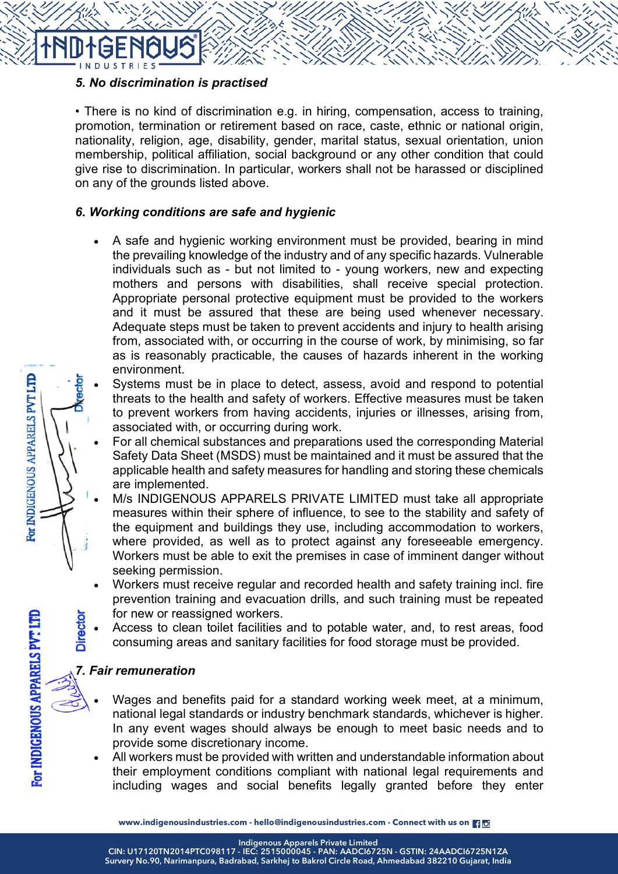

# *5. No discrimination is practised*

• There is no kind of discrimination e.g. in hiring, compensation, access to training, promotion, termination or retirement based on race, caste, ethnic or national origin, nationality, religion, age, disability, gender, marital status, sexual orientation, union membership, political affiliation, social background or any other condition that could give rise to discrimination. In particular, workers shall not be harassed or disciplined on any of the grounds listed above.

#### *6. Working conditions are safe and hygienic*

- A safe and hygienic working environment must be provided, bearing in mind the prevailing knowledge of the industry and of any specific hazards. Vulnerable individuals such as - but not limited to - young workers, new and expecting mothers and persons with disabilities, shall receive special protection. Appropriate personal protective equipment must be provided to the workers and it must be assured that these are being used whenever necessary. Adequate steps must be taken to prevent accidents and injury to health arising from, associated with, or occurring in the course of work, by minimising, so far as is reasonably practicable, the causes of hazards inherent in the working environment.
	- Systems must be in place to detect, assess, avoid and respond to potential threats to the health and safety of workers. Effective measures must be taken to prevent workers from having accidents, injuries or illnesses, arising from, associated with, or occurring during work.
- For all chemical substances and preparations used the corresponding Material Safety Data Sheet (MSDS) must be maintained and it must be assured that the applicable health and safety measures for handling and storing these chemicals are implemented.
- M/s INDIGENOUS APPARELS PRIVATE LIMITED must take all appropriate measures within their sphere of influence, to see to the stability and safety of the equipment and buildings they use, including accommodation to workers, where provided, as well as to protect against any foreseeable emergency. Workers must be able to exit the premises in case of imminent danger without seeking permission.
- Workers must receive regular and recorded health and safety training incl. fire prevention training and evacuation drills, and such training must be repeated for new or reassigned workers.
- Access to clean toilet facilities and to potable water, and, to rest areas, food consuming areas and sanitary facilities for food storage must be provided.

# *7. Fair remuneration*

- Wages and benefits paid for a standard working week meet, at a minimum, national legal standards or industry benchmark standards, whichever is higher. In any event wages should always be enough to meet basic needs and to provide some discretionary income.
- All workers must be provided with written and understandable information about their employment conditions compliant with national legal requirements and including wages and social benefits legally granted before they enter

**Indigenous Apparels Private Limited**

For INDIGENOUS APPARELS PVT LTD

For INDIGENOUS APPARELS PVT LTD

**Director**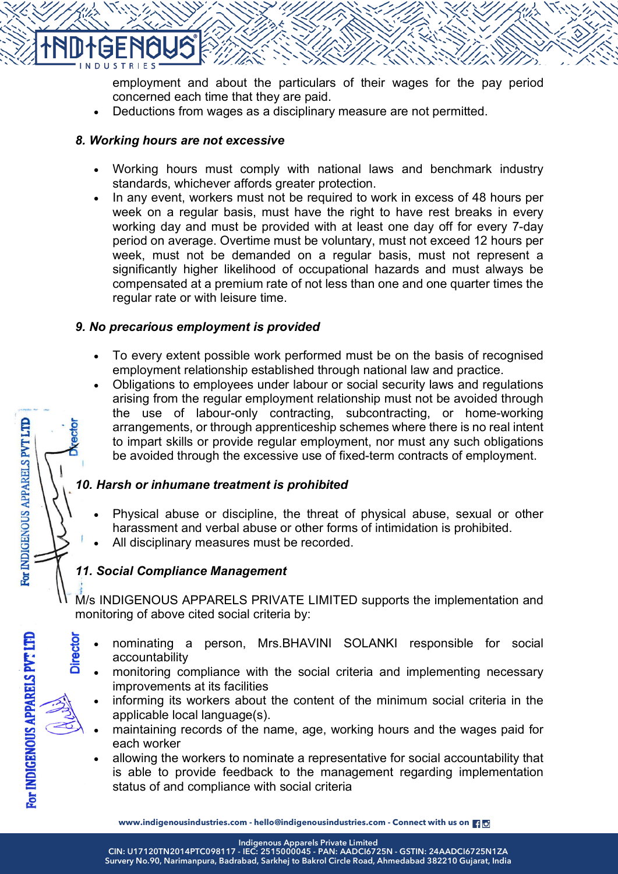

employment and about the particulars of their wages for the pay period concerned each time that they are paid.

• Deductions from wages as a disciplinary measure are not permitted.

#### *8. Working hours are not excessive*

- Working hours must comply with national laws and benchmark industry standards, whichever affords greater protection.
- In any event, workers must not be required to work in excess of 48 hours per week on a regular basis, must have the right to have rest breaks in every working day and must be provided with at least one day off for every 7-day period on average. Overtime must be voluntary, must not exceed 12 hours per week, must not be demanded on a regular basis, must not represent a significantly higher likelihood of occupational hazards and must always be compensated at a premium rate of not less than one and one quarter times the regular rate or with leisure time.

#### *9. No precarious employment is provided*

- To every extent possible work performed must be on the basis of recognised employment relationship established through national law and practice.
- Obligations to employees under labour or social security laws and regulations arising from the regular employment relationship must not be avoided through the use of labour-only contracting, subcontracting, or home-working arrangements, or through apprenticeship schemes where there is no real intent to impart skills or provide regular employment, nor must any such obligations be avoided through the excessive use of fixed-term contracts of employment.

# *10. Harsh or inhumane treatment is prohibited*

- Physical abuse or discipline, the threat of physical abuse, sexual or other harassment and verbal abuse or other forms of intimidation is prohibited.
- All disciplinary measures must be recorded.

# *11. Social Compliance Management*

M/s INDIGENOUS APPARELS PRIVATE LIMITED supports the implementation and monitoring of above cited social criteria by:

- nominating a person, Mrs.BHAVINI SOLANKI responsible for social accountability
	- monitoring compliance with the social criteria and implementing necessary improvements at its facilities
- informing its workers about the content of the minimum social criteria in the applicable local language(s).
- maintaining records of the name, age, working hours and the wages paid for each worker
- allowing the workers to nominate a representative for social accountability that is able to provide feedback to the management regarding implementation status of and compliance with social criteria

**Indigenous Apparels Private Limited**

For INDIGENOUS APPARELS PVT LTD

**Director** 

For INDIGENOUS APPARELS PVT LTD